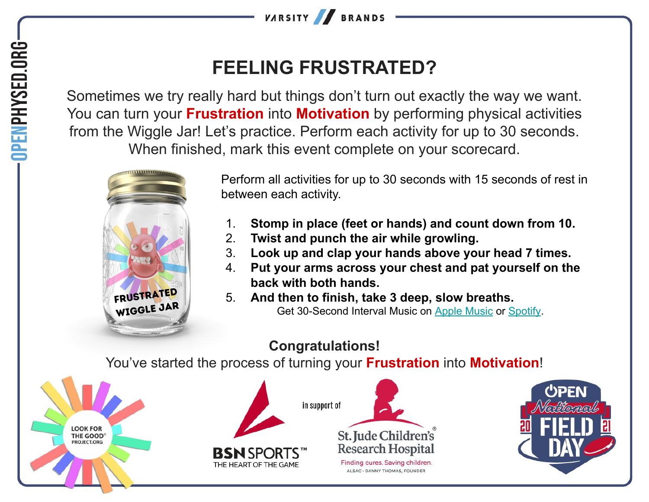

## **FEELING FRUSTRATED?**

Sometimes we try really hard but things don't turn out exactly the way we want. You can turn your **Frustration** into **Motivation** by performing physical activities from the Wiggle Jar! Let's practice. Perform each activity for up to 30 seconds. When finished, mark this event complete on your scorecard.



Perform all activities for up to 30 seconds with 15 seconds of rest in between each activity.

- 1. **Stomp in place (feet or hands) and count down from 10.**
- 2. **Twist and punch the air while growling.**
- 3. **Look up and clap your hands above your head 7 times.**
- 4. **Put your arms across your chest and pat yourself on the back with both hands.**
- 5. **And then to finish, take 3 deep, slow breaths.** Get 30-Second Interval Music on [Apple Music](https://music.apple.com/us/album/hhd-30-second-intervals-with-15-second-breaks/553186898?i=553186900) or [Spotify](https://open.spotify.com/track/1sHvWHLbTXwzx9IEPdS7RH?si=49e962017fc040ef).

## **Congratulations!**

You've started the process of turning your **Frustration** into **Motivation**!